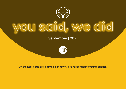

September | 2021



On the next page are examples of how we've responded to your feedback.